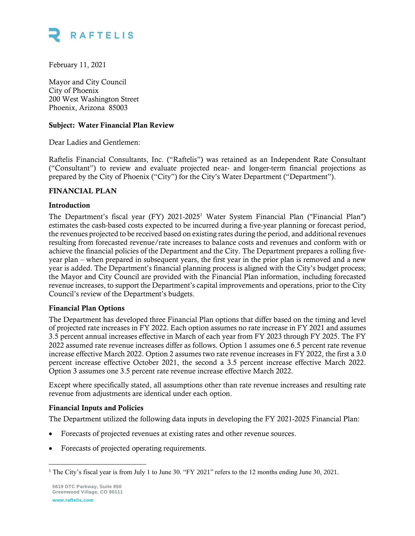

February 11, 2021

Mayor and City Council City of Phoenix 200 West Washington Street Phoenix, Arizona 85003

## Subject: Water Financial Plan Review

Dear Ladies and Gentlemen:

Raftelis Financial Consultants, Inc. ("Raftelis") was retained as an Independent Rate Consultant ("Consultant") to review and evaluate projected near- and longer-term financial projections as prepared by the City of Phoenix ("City") for the City's Water Department ("Department").

#### FINANCIAL PLAN

#### Introduction

The Department's fiscal year (FY) 2021-2025 <sup>1</sup> Water System Financial Plan ("Financial Plan") estimates the cash-based costs expected to be incurred during a five-year planning or forecast period, the revenues projected to be received based on existing rates during the period, and additional revenues resulting from forecasted revenue/rate increases to balance costs and revenues and conform with or achieve the financial policies of the Department and the City. The Department prepares a rolling fiveyear plan – when prepared in subsequent years, the first year in the prior plan is removed and a new year is added. The Department's financial planning process is aligned with the City's budget process; the Mayor and City Council are provided with the Financial Plan information, including forecasted revenue increases, to support the Department's capital improvements and operations, prior to the City Council's review of the Department's budgets.

#### Financial Plan Options

The Department has developed three Financial Plan options that differ based on the timing and level of projected rate increases in FY 2022. Each option assumes no rate increase in FY 2021 and assumes 3.5 percent annual increases effective in March of each year from FY 2023 through FY 2025. The FY 2022 assumed rate revenue increases differ as follows. Option 1 assumes one 6.5 percent rate revenue increase effective March 2022. Option 2 assumes two rate revenue increases in FY 2022, the first a 3.0 percent increase effective October 2021, the second a 3.5 percent increase effective March 2022. Option 3 assumes one 3.5 percent rate revenue increase effective March 2022.

Except where specifically stated, all assumptions other than rate revenue increases and resulting rate revenue from adjustments are identical under each option.

## Financial Inputs and Policies

The Department utilized the following data inputs in developing the FY 2021-2025 Financial Plan:

- Forecasts of projected revenues at existing rates and other revenue sources.
- Forecasts of projected operating requirements.

<sup>&</sup>lt;sup>1</sup> The City's fiscal year is from July 1 to June 30. "FY 2021" refers to the 12 months ending June 30, 2021.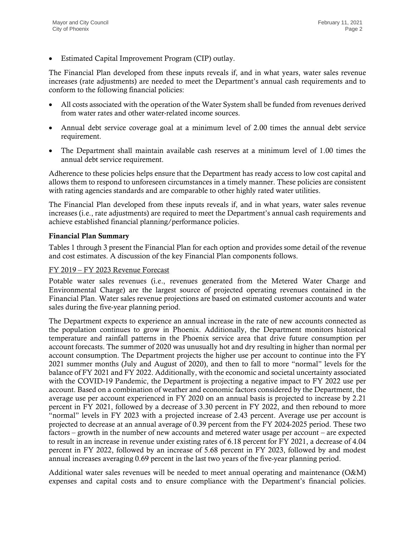• Estimated Capital Improvement Program (CIP) outlay.

The Financial Plan developed from these inputs reveals if, and in what years, water sales revenue increases (rate adjustments) are needed to meet the Department's annual cash requirements and to conform to the following financial policies:

- All costs associated with the operation of the Water System shall be funded from revenues derived from water rates and other water-related income sources.
- Annual debt service coverage goal at a minimum level of 2.00 times the annual debt service requirement.
- The Department shall maintain available cash reserves at a minimum level of 1.00 times the annual debt service requirement.

Adherence to these policies helps ensure that the Department has ready access to low cost capital and allows them to respond to unforeseen circumstances in a timely manner. These policies are consistent with rating agencies standards and are comparable to other highly rated water utilities.

The Financial Plan developed from these inputs reveals if, and in what years, water sales revenue increases (i.e., rate adjustments) are required to meet the Department's annual cash requirements and achieve established financial planning/performance policies.

## Financial Plan Summary

Tables 1 through 3 present the Financial Plan for each option and provides some detail of the revenue and cost estimates. A discussion of the key Financial Plan components follows.

## FY 2019 – FY 2023 Revenue Forecast

Potable water sales revenues (i.e., revenues generated from the Metered Water Charge and Environmental Charge) are the largest source of projected operating revenues contained in the Financial Plan. Water sales revenue projections are based on estimated customer accounts and water sales during the five-year planning period.

The Department expects to experience an annual increase in the rate of new accounts connected as the population continues to grow in Phoenix. Additionally, the Department monitors historical temperature and rainfall patterns in the Phoenix service area that drive future consumption per account forecasts. The summer of 2020 was unusually hot and dry resulting in higher than normal per account consumption. The Department projects the higher use per account to continue into the FY 2021 summer months (July and August of 2020), and then to fall to more "normal" levels for the balance of FY 2021 and FY 2022. Additionally, with the economic and societal uncertainty associated with the COVID-19 Pandemic, the Department is projecting a negative impact to FY 2022 use per account. Based on a combination of weather and economic factors considered by the Department, the average use per account experienced in FY 2020 on an annual basis is projected to increase by 2.21 percent in FY 2021, followed by a decrease of 3.30 percent in FY 2022, and then rebound to more "normal" levels in FY 2023 with a projected increase of 2.43 percent. Average use per account is projected to decrease at an annual average of 0.39 percent from the FY 2024-2025 period. These two factors – growth in the number of new accounts and metered water usage per account – are expected to result in an increase in revenue under existing rates of 6.18 percent for FY 2021, a decrease of 4.04 percent in FY 2022, followed by an increase of 5.68 percent in FY 2023, followed by and modest annual increases averaging 0.69 percent in the last two years of the five-year planning period.

Additional water sales revenues will be needed to meet annual operating and maintenance (O&M) expenses and capital costs and to ensure compliance with the Department's financial policies.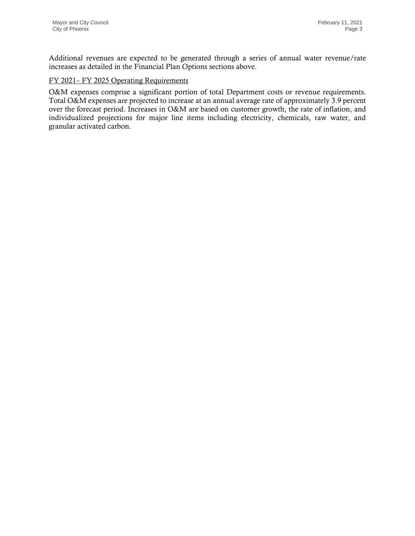Additional revenues are expected to be generated through a series of annual water revenue/rate increases as detailed in the Financial Plan Options sections above.

## FY 2021– FY 2025 Operating Requirements

O&M expenses comprise a significant portion of total Department costs or revenue requirements. Total O&M expenses are projected to increase at an annual average rate of approximately 3.9 percent over the forecast period. Increases in O&M are based on customer growth, the rate of inflation, and individualized projections for major line items including electricity, chemicals, raw water, and granular activated carbon.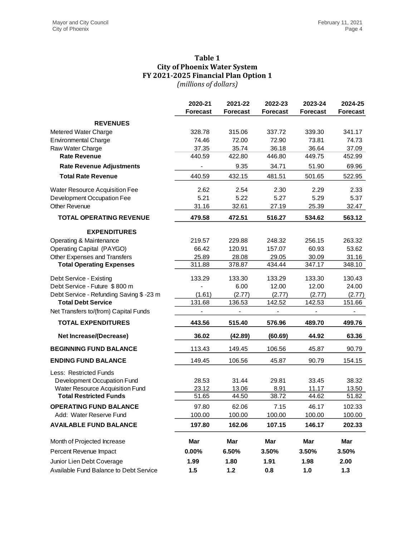## **Table 1 City of Phoenix Water System FY 2021-2025 Financial Plan Option 1** *(millions of dollars)*

|                                         | 2020-21         | 2021-22                      | 2022-23                      | 2023-24                      | 2024-25         |
|-----------------------------------------|-----------------|------------------------------|------------------------------|------------------------------|-----------------|
|                                         | <b>Forecast</b> | <b>Forecast</b>              | <b>Forecast</b>              | <b>Forecast</b>              | <b>Forecast</b> |
| <b>REVENUES</b>                         |                 |                              |                              |                              |                 |
| Metered Water Charge                    | 328.78          | 315.06                       | 337.72                       | 339.30                       | 341.17          |
| <b>Environmental Charge</b>             | 74.46           | 72.00                        | 72.90                        | 73.81                        | 74.73           |
| Raw Water Charge                        | 37.35           | 35.74                        | 36.18                        | 36.64                        | 37.09           |
| <b>Rate Revenue</b>                     | 440.59          | 422.80                       | 446.80                       | 449.75                       | 452.99          |
| <b>Rate Revenue Adjustments</b>         |                 | 9.35                         | 34.71                        | 51.90                        | 69.96           |
| <b>Total Rate Revenue</b>               | 440.59          | 432.15                       | 481.51                       | 501.65                       | 522.95          |
| Water Resource Acquisition Fee          | 2.62            | 2.54                         | 2.30                         | 2.29                         | 2.33            |
| Development Occupation Fee              | 5.21            | 5.22                         | 5.27                         | 5.29                         | 5.37            |
| <b>Other Revenue</b>                    | 31.16           | 32.61                        | 27.19                        | 25.39                        | 32.47           |
| <b>TOTAL OPERATING REVENUE</b>          | 479.58          | 472.51                       | 516.27                       | 534.62                       | 563.12          |
| <b>EXPENDITURES</b>                     |                 |                              |                              |                              |                 |
| Operating & Maintenance                 | 219.57          | 229.88                       | 248.32                       | 256.15                       | 263.32          |
| Operating Capital (PAYGO)               | 66.42           | 120.91                       | 157.07                       | 60.93                        | 53.62           |
| Other Expenses and Transfers            | 25.89           | 28.08                        | 29.05                        | 30.09                        | 31.16           |
| <b>Total Operating Expenses</b>         | 311.88          | 378.87                       | 434.44                       | 347.17                       | 348.10          |
| Debt Service - Existing                 | 133.29          | 133.30                       | 133.29                       | 133.30                       | 130.43          |
| Debt Service - Future \$800 m           |                 | 6.00                         | 12.00                        | 12.00                        | 24.00           |
| Debt Service - Refunding Saving \$-23 m | (1.61)          | (2.77)                       | (2.77)                       | (2.77)                       | (2.77)          |
| <b>Total Debt Service</b>               | 131.68          | 136.53                       | 142.52                       | 142.53                       | 151.66          |
| Net Transfers to/(from) Capital Funds   |                 | $\qquad \qquad \blacksquare$ | $\qquad \qquad \blacksquare$ | $\qquad \qquad \blacksquare$ | $\blacksquare$  |
| <b>TOTAL EXPENDITURES</b>               | 443.56          | 515.40                       | 576.96                       | 489.70                       | 499.76          |
| <b>Net Increase/(Decrease)</b>          | 36.02           | (42.89)                      | (60.69)                      | 44.92                        | 63.36           |
| <b>BEGINNING FUND BALANCE</b>           | 113.43          | 149.45                       | 106.56                       | 45.87                        | 90.79           |
| <b>ENDING FUND BALANCE</b>              | 149.45          | 106.56                       | 45.87                        | 90.79                        | 154.15          |
| Less: Restricted Funds                  |                 |                              |                              |                              |                 |
| Development Occupation Fund             | 28.53           | 31.44                        | 29.81                        | 33.45                        | 38.32           |
| Water Resource Acquisition Fund         | 23.12           | 13.06                        | 8.91                         | 11.17                        | 13.50           |
| <b>Total Restricted Funds</b>           | 51.65           | 44.50                        | 38.72                        | 44.62                        | 51.82           |
| <b>OPERATING FUND BALANCE</b>           | 97.80           | 62.06                        | 7.15                         | 46.17                        | 102.33          |
| Add: Water Reserve Fund                 | 100.00          | 100.00                       | 100.00                       | 100.00                       | 100.00          |
| <b>AVAILABLE FUND BALANCE</b>           | 197.80          | 162.06                       | 107.15                       | 146.17                       | 202.33          |
| Month of Projected Increase             | Mar             | Mar                          | Mar                          | Mar                          | Mar             |
| Percent Revenue Impact                  | $0.00\%$        | 6.50%                        | 3.50%                        | 3.50%                        | 3.50%           |
|                                         |                 |                              |                              |                              |                 |
| Junior Lien Debt Coverage               | 1.99            | 1.80                         | 1.91                         | 1.98                         | 2.00            |
| Available Fund Balance to Debt Service  | 1.5             | 1.2                          | 0.8                          | 1.0                          | 1.3             |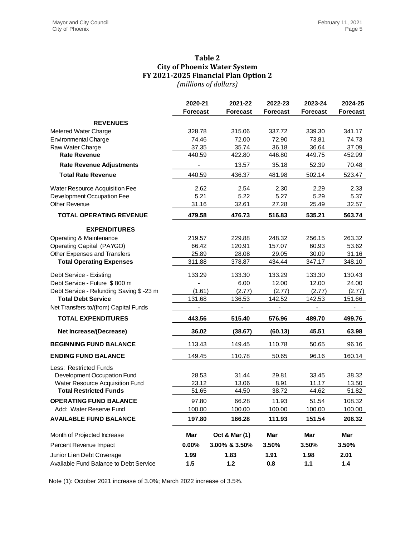# **Table 2 City of Phoenix Water System FY 2021-2025 Financial Plan Option 2** *(millions of dollars)*

|                                          | 2020-21         | 2021-22                  | 2022-23         | 2023-24         | 2024-25                  |  |  |
|------------------------------------------|-----------------|--------------------------|-----------------|-----------------|--------------------------|--|--|
|                                          | <b>Forecast</b> | <b>Forecast</b>          | <b>Forecast</b> | <b>Forecast</b> | <b>Forecast</b>          |  |  |
| <b>REVENUES</b>                          |                 |                          |                 |                 |                          |  |  |
| Metered Water Charge                     | 328.78          | 315.06                   | 337.72          | 339.30          | 341.17                   |  |  |
| <b>Environmental Charge</b>              | 74.46           | 72.00                    | 72.90           | 73.81           | 74.73                    |  |  |
| Raw Water Charge                         | 37.35           | 35.74                    | 36.18           | 36.64           | 37.09                    |  |  |
| <b>Rate Revenue</b>                      | 440.59          | 422.80                   | 446.80          | 449.75          | 452.99                   |  |  |
| <b>Rate Revenue Adjustments</b>          |                 | 13.57                    | 35.18           | 52.39           | 70.48                    |  |  |
| <b>Total Rate Revenue</b>                | 440.59          | 436.37                   | 481.98          | 502.14          | 523.47                   |  |  |
| Water Resource Acquisition Fee           | 2.62            | 2.54                     | 2.30            | 2.29            | 2.33                     |  |  |
| Development Occupation Fee               | 5.21            | 5.22                     | 5.27            | 5.29            | 5.37                     |  |  |
| <b>Other Revenue</b>                     | 31.16           | 32.61                    | 27.28           | 25.49           | 32.57                    |  |  |
| <b>TOTAL OPERATING REVENUE</b>           | 479.58          | 476.73                   | 516.83          | 535.21          | 563.74                   |  |  |
| <b>EXPENDITURES</b>                      |                 |                          |                 |                 |                          |  |  |
| Operating & Maintenance                  | 219.57          | 229.88                   | 248.32          | 256.15          | 263.32                   |  |  |
| Operating Capital (PAYGO)                | 66.42           | 120.91                   | 157.07          | 60.93           | 53.62                    |  |  |
| Other Expenses and Transfers             | 25.89           | 28.08                    | 29.05           | 30.09           | 31.16                    |  |  |
| <b>Total Operating Expenses</b>          | 311.88          | 378.87                   | 434.44          | 347.17          | 348.10                   |  |  |
| Debt Service - Existing                  | 133.29          | 133.30                   | 133.29          | 133.30          | 130.43                   |  |  |
| Debt Service - Future \$800 m            |                 | 6.00                     | 12.00           | 12.00           | 24.00                    |  |  |
| Debt Service - Refunding Saving \$ -23 m | (1.61)          | (2.77)                   | (2.77)          | (2.77)          | (2.77)                   |  |  |
| <b>Total Debt Service</b>                | 131.68          | 136.53                   | 142.52          | 142.53          | 151.66                   |  |  |
| Net Transfers to/(from) Capital Funds    |                 | $\overline{\phantom{0}}$ | ÷               |                 | $\overline{\phantom{a}}$ |  |  |
| <b>TOTAL EXPENDITURES</b>                | 443.56          | 515.40                   | 576.96          | 489.70          | 499.76                   |  |  |
| <b>Net Increase/(Decrease)</b>           | 36.02           | (38.67)                  | (60.13)         | 45.51           | 63.98                    |  |  |
| <b>BEGINNING FUND BALANCE</b>            | 113.43          | 149.45                   | 110.78          | 50.65           | 96.16                    |  |  |
| <b>ENDING FUND BALANCE</b>               | 149.45          | 110.78                   | 50.65           | 96.16           | 160.14                   |  |  |
| Less: Restricted Funds                   |                 |                          |                 |                 |                          |  |  |
| Development Occupation Fund              | 28.53           | 31.44                    | 29.81           | 33.45           | 38.32                    |  |  |
| Water Resource Acquisition Fund          | 23.12           | 13.06                    | 8.91            | 11.17           | 13.50                    |  |  |
| <b>Total Restricted Funds</b>            | 51.65           | 44.50                    | 38.72           | 44.62           | 51.82                    |  |  |
| <b>OPERATING FUND BALANCE</b>            | 97.80           | 66.28                    | 11.93           | 51.54           | 108.32                   |  |  |
| Add: Water Reserve Fund                  | 100.00          | 100.00                   | 100.00          | 100.00          | 100.00                   |  |  |
| <b>AVAILABLE FUND BALANCE</b>            | 197.80          | 166.28                   | 111.93          | 151.54          | 208.32                   |  |  |
| Month of Projected Increase              | Mar             | Oct & Mar (1)            | Mar             | Mar             | <b>Mar</b>               |  |  |
| Percent Revenue Impact                   | 0.00%           | 3.00% & 3.50%            | 3.50%           | 3.50%           | 3.50%                    |  |  |
| Junior Lien Debt Coverage                | 1.99            | 1.83                     | 1.91            | 1.98            | 2.01                     |  |  |
| Available Fund Balance to Debt Service   | 1.5             | $1.2$                    | 0.8             | $1.1$           | $1.4$                    |  |  |

Note (1): October 2021 increase of 3.0%; March 2022 increase of 3.5%.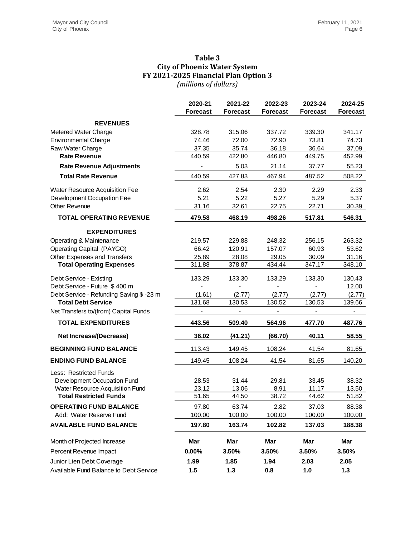## **Table 3 City of Phoenix Water System FY 2021-2025 Financial Plan Option 3** *(millions of dollars)*

|                                         | 2020-21         | 2021-22                      | 2022-23                      | 2023-24                      | 2024-25         |  |
|-----------------------------------------|-----------------|------------------------------|------------------------------|------------------------------|-----------------|--|
|                                         | <b>Forecast</b> | <b>Forecast</b>              | <b>Forecast</b>              | <b>Forecast</b>              | <b>Forecast</b> |  |
| <b>REVENUES</b>                         |                 |                              |                              |                              |                 |  |
| Metered Water Charge                    | 328.78          | 315.06                       | 337.72                       | 339.30                       | 341.17          |  |
| <b>Environmental Charge</b>             | 74.46           | 72.00                        | 72.90                        | 73.81                        | 74.73           |  |
| Raw Water Charge                        | 37.35           | 35.74                        | 36.18                        | 36.64                        | 37.09           |  |
| <b>Rate Revenue</b>                     | 440.59          | 422.80                       | 446.80                       | 449.75                       | 452.99          |  |
| <b>Rate Revenue Adjustments</b>         |                 | 5.03                         | 21.14                        | 37.77                        | 55.23           |  |
| <b>Total Rate Revenue</b>               | 440.59          | 427.83                       | 467.94                       | 487.52                       | 508.22          |  |
| <b>Water Resource Acquisition Fee</b>   | 2.62            | 2.54                         | 2.30                         | 2.29                         | 2.33            |  |
| Development Occupation Fee              | 5.21            | 5.22                         | 5.27                         | 5.29                         | 5.37            |  |
| <b>Other Revenue</b>                    | 31.16           | 32.61                        | 22.75                        | 22.71                        | 30.39           |  |
| <b>TOTAL OPERATING REVENUE</b>          | 479.58          | 468.19                       | 498.26                       | 517.81                       | 546.31          |  |
| <b>EXPENDITURES</b>                     |                 |                              |                              |                              |                 |  |
| Operating & Maintenance                 | 219.57          | 229.88                       | 248.32                       | 256.15                       | 263.32          |  |
| Operating Capital (PAYGO)               | 66.42           | 120.91                       | 157.07                       | 60.93                        | 53.62           |  |
| Other Expenses and Transfers            | 25.89           | 28.08                        | 29.05                        | 30.09                        | 31.16           |  |
| <b>Total Operating Expenses</b>         | 311.88          | 378.87                       | 434.44                       | 347.17                       | 348.10          |  |
| Debt Service - Existing                 | 133.29          | 133.30                       | 133.29                       | 133.30                       | 130.43          |  |
| Debt Service - Future \$400 m           |                 |                              |                              |                              | 12.00           |  |
| Debt Service - Refunding Saving \$-23 m | (1.61)          | (2.77)                       | (2.77)                       | (2.77)                       | (2.77)          |  |
| <b>Total Debt Service</b>               | 131.68          | 130.53                       | 130.52                       | 130.53                       | 139.66          |  |
| Net Transfers to/(from) Capital Funds   |                 | $\qquad \qquad \blacksquare$ | $\qquad \qquad \blacksquare$ | $\qquad \qquad \blacksquare$ | $\blacksquare$  |  |
| <b>TOTAL EXPENDITURES</b>               | 443.56          | 509.40                       | 564.96                       | 477.70                       | 487.76          |  |
| <b>Net Increase/(Decrease)</b>          | 36.02           | (41.21)                      | (66.70)                      | 40.11                        | 58.55           |  |
| <b>BEGINNING FUND BALANCE</b>           | 113.43          | 149.45                       | 108.24                       | 41.54                        | 81.65           |  |
| <b>ENDING FUND BALANCE</b>              | 149.45          | 108.24                       | 41.54                        | 81.65                        | 140.20          |  |
| Less: Restricted Funds                  |                 |                              |                              |                              |                 |  |
| Development Occupation Fund             | 28.53           | 31.44                        | 29.81                        | 33.45                        | 38.32           |  |
| Water Resource Acquisition Fund         | 23.12           | 13.06                        | 8.91                         | 11.17                        | 13.50           |  |
| <b>Total Restricted Funds</b>           | 51.65           | 44.50                        | 38.72                        | 44.62                        | 51.82           |  |
| <b>OPERATING FUND BALANCE</b>           | 97.80           | 63.74                        | 2.82                         | 37.03                        | 88.38           |  |
| Add: Water Reserve Fund                 | 100.00          | 100.00                       | 100.00                       | 100.00                       | 100.00          |  |
| <b>AVAILABLE FUND BALANCE</b>           | 197.80          | 163.74                       | 102.82                       | 137.03                       | 188.38          |  |
| Month of Projected Increase             | Mar             | Mar                          | Mar                          | Mar                          | Mar             |  |
| Percent Revenue Impact                  | $0.00\%$        | 3.50%                        | 3.50%                        | 3.50%                        | 3.50%           |  |
| Junior Lien Debt Coverage               | 1.99            | 1.85                         | 1.94                         | 2.03                         | 2.05            |  |
| Available Fund Balance to Debt Service  | 1.5             | 1.3                          | 0.8                          | 1.0                          | 1.3             |  |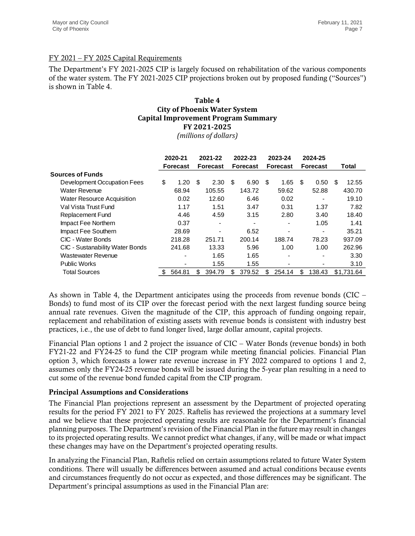# FY 2021 – FY 2025 Capital Requirements

The Department's FY 2021-2025 CIP is largely focused on rehabilitation of the various components of the water system. The FY 2021-2025 CIP projections broken out by proposed funding ("Sources") is shown in Table 4.

## **Table 4 City of Phoenix Water System Capital Improvement Program Summary FY 2021-2025** *(millions of dollars)*

|                                                                                                                                                                                                                                                                                                                                                                                                                                                                                                                                                                                                                                                                                           | 2020-21<br>Forecast |                          | 2021-22<br><b>Forecast</b> |                              | 2022-23<br><b>Forecast</b> |                          | 2023-24<br><b>Forecast</b> |                              | 2024-25<br><b>Forecast</b> |                          | Total |            |
|-------------------------------------------------------------------------------------------------------------------------------------------------------------------------------------------------------------------------------------------------------------------------------------------------------------------------------------------------------------------------------------------------------------------------------------------------------------------------------------------------------------------------------------------------------------------------------------------------------------------------------------------------------------------------------------------|---------------------|--------------------------|----------------------------|------------------------------|----------------------------|--------------------------|----------------------------|------------------------------|----------------------------|--------------------------|-------|------------|
| <b>Sources of Funds</b>                                                                                                                                                                                                                                                                                                                                                                                                                                                                                                                                                                                                                                                                   |                     |                          |                            |                              |                            |                          |                            |                              |                            |                          |       |            |
| Development Occupation Fees                                                                                                                                                                                                                                                                                                                                                                                                                                                                                                                                                                                                                                                               | \$                  | 1.20                     | \$                         | 2.30                         | \$                         | 6.90                     | \$                         | 1.65                         | \$                         | 0.50                     | \$    | 12.55      |
| <b>Water Revenue</b>                                                                                                                                                                                                                                                                                                                                                                                                                                                                                                                                                                                                                                                                      |                     | 68.94                    |                            | 105.55                       |                            | 143.72                   |                            | 59.62                        |                            | 52.88                    |       | 430.70     |
| Water Resource Acquisition                                                                                                                                                                                                                                                                                                                                                                                                                                                                                                                                                                                                                                                                |                     | 0.02                     |                            | 12.60                        |                            | 6.46                     |                            | 0.02                         |                            | $\sim$                   |       | 19.10      |
| Val Vista Trust Fund                                                                                                                                                                                                                                                                                                                                                                                                                                                                                                                                                                                                                                                                      |                     | 1.17                     |                            | 1.51                         |                            | 3.47                     |                            | 0.31                         |                            | 1.37                     |       | 7.82       |
| Replacement Fund                                                                                                                                                                                                                                                                                                                                                                                                                                                                                                                                                                                                                                                                          |                     | 4.46                     |                            | 4.59                         |                            | 3.15                     |                            | 2.80                         |                            | 3.40                     |       | 18.40      |
| Impact Fee Northern                                                                                                                                                                                                                                                                                                                                                                                                                                                                                                                                                                                                                                                                       |                     | 0.37                     |                            | $\qquad \qquad \blacksquare$ |                            | $\overline{\phantom{0}}$ |                            | $\blacksquare$               |                            | 1.05                     |       | 1.41       |
| Impact Fee Southern                                                                                                                                                                                                                                                                                                                                                                                                                                                                                                                                                                                                                                                                       |                     | 28.69                    |                            |                              |                            | 6.52                     |                            | $\qquad \qquad \blacksquare$ |                            | $\blacksquare$           |       | 35.21      |
| CIC - Water Bonds                                                                                                                                                                                                                                                                                                                                                                                                                                                                                                                                                                                                                                                                         |                     | 218.28                   |                            | 251.71                       |                            | 200.14                   |                            | 188.74                       |                            | 78.23                    |       | 937.09     |
| CIC - Sustanability Water Bonds                                                                                                                                                                                                                                                                                                                                                                                                                                                                                                                                                                                                                                                           |                     | 241.68                   |                            | 13.33                        |                            | 5.96                     |                            | 1.00                         |                            | 1.00                     |       | 262.96     |
| <b>Wastewater Revenue</b>                                                                                                                                                                                                                                                                                                                                                                                                                                                                                                                                                                                                                                                                 |                     | $\blacksquare$           |                            | 1.65                         |                            | 1.65                     |                            |                              |                            |                          |       | 3.30       |
| Public Works                                                                                                                                                                                                                                                                                                                                                                                                                                                                                                                                                                                                                                                                              |                     | $\overline{\phantom{a}}$ |                            | 1.55                         |                            | 1.55                     |                            | $\overline{\phantom{a}}$     |                            | $\overline{\phantom{a}}$ |       | 3.10       |
| <b>Total Sources</b>                                                                                                                                                                                                                                                                                                                                                                                                                                                                                                                                                                                                                                                                      | \$                  | 564.81                   | \$                         | 394.79                       | \$                         | 379.52                   | \$                         | 254.14                       | \$                         | 138.43                   |       | \$1,731.64 |
| replacement and rehabilitation of existing assets with revenue bonds is consistent with industry best<br>practices, i.e., the use of debt to fund longer lived, large dollar amount, capital projects.<br>Financial Plan options 1 and 2 project the issuance of CIC – Water Bonds (revenue bonds) in both<br>FY21-22 and FY24-25 to fund the CIP program while meeting financial policies. Financial Plan<br>option 3, which forecasts a lower rate revenue increase in FY 2022 compared to options 1 and 2,<br>assumes only the FY24-25 revenue bonds will be issued during the 5-year plan resulting in a need to<br>cut some of the revenue bond funded capital from the CIP program. |                     |                          |                            |                              |                            |                          |                            |                              |                            |                          |       |            |
| <b>Principal Assumptions and Considerations</b>                                                                                                                                                                                                                                                                                                                                                                                                                                                                                                                                                                                                                                           |                     |                          |                            |                              |                            |                          |                            |                              |                            |                          |       |            |
| The Financial Plan projections represent an assessment by the Department of projected operating<br>results for the period FY 2021 to FY 2025. Raftelis has reviewed the projections at a summary level<br>and we believe that these projected operating results are reasonable for the Department's financial<br>planning purposes. The Department's revision of the Financial Plan in the future may result in changes<br>to its projected operating results. We cannot predict what changes, if any, will be made or what impact<br>these changes may have on the Department's projected operating results.                                                                             |                     |                          |                            |                              |                            |                          |                            |                              |                            |                          |       |            |
| In analyzing the Financial Plan, Raftelis relied on certain assumptions related to future Water System<br>conditions. There will usually be differences between assumed and actual conditions because events<br>and circumstances frequently do not occur as expected, and those differences may be significant. The<br>Department's principal assumptions as used in the Financial Plan are:                                                                                                                                                                                                                                                                                             |                     |                          |                            |                              |                            |                          |                            |                              |                            |                          |       |            |

# Principal Assumptions and Considerations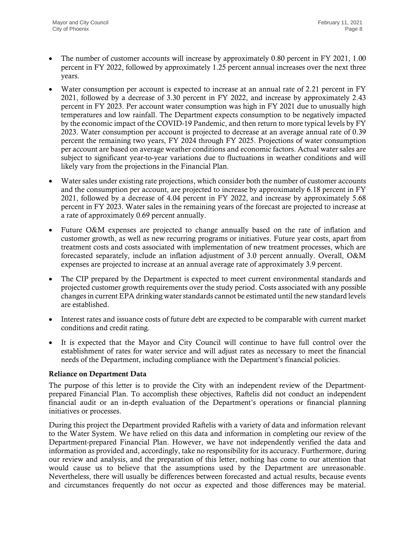- The number of customer accounts will increase by approximately 0.80 percent in FY 2021, 1.00 percent in FY 2022, followed by approximately 1.25 percent annual increases over the next three years.
- Water consumption per account is expected to increase at an annual rate of 2.21 percent in FY 2021, followed by a decrease of 3.30 percent in FY 2022, and increase by approximately 2.43 percent in FY 2023. Per account water consumption was high in FY 2021 due to unusually high temperatures and low rainfall. The Department expects consumption to be negatively impacted by the economic impact of the COVID-19 Pandemic, and then return to more typical levels by FY 2023. Water consumption per account is projected to decrease at an average annual rate of 0.39 percent the remaining two years, FY 2024 through FY 2025. Projections of water consumption per account are based on average weather conditions and economic factors. Actual water sales are subject to significant year-to-year variations due to fluctuations in weather conditions and will likely vary from the projections in the Financial Plan.
- Water sales under existing rate projections, which consider both the number of customer accounts and the consumption per account, are projected to increase by approximately 6.18 percent in FY 2021, followed by a decrease of 4.04 percent in FY 2022, and increase by approximately 5.68 percent in FY 2023. Water sales in the remaining years of the forecast are projected to increase at a rate of approximately 0.69 percent annually.
- Future O&M expenses are projected to change annually based on the rate of inflation and customer growth, as well as new recurring programs or initiatives. Future year costs, apart from treatment costs and costs associated with implementation of new treatment processes, which are forecasted separately, include an inflation adjustment of 3.0 percent annually. Overall, O&M expenses are projected to increase at an annual average rate of approximately 3.9 percent.
- The CIP prepared by the Department is expected to meet current environmental standards and projected customer growth requirements over the study period. Costs associated with any possible changes in current EPA drinking water standards cannot be estimated until the new standard levels are established.
- Interest rates and issuance costs of future debt are expected to be comparable with current market conditions and credit rating.
- It is expected that the Mayor and City Council will continue to have full control over the establishment of rates for water service and will adjust rates as necessary to meet the financial needs of the Department, including compliance with the Department's financial policies.

# Reliance on Department Data

The purpose of this letter is to provide the City with an independent review of the Departmentprepared Financial Plan. To accomplish these objectives, Raftelis did not conduct an independent financial audit or an in-depth evaluation of the Department's operations or financial planning initiatives or processes.

During this project the Department provided Raftelis with a variety of data and information relevant to the Water System. We have relied on this data and information in completing our review of the Department-prepared Financial Plan. However, we have not independently verified the data and information as provided and, accordingly, take no responsibility for its accuracy. Furthermore, during our review and analysis, and the preparation of this letter, nothing has come to our attention that would cause us to believe that the assumptions used by the Department are unreasonable. Nevertheless, there will usually be differences between forecasted and actual results, because events and circumstances frequently do not occur as expected and those differences may be material.